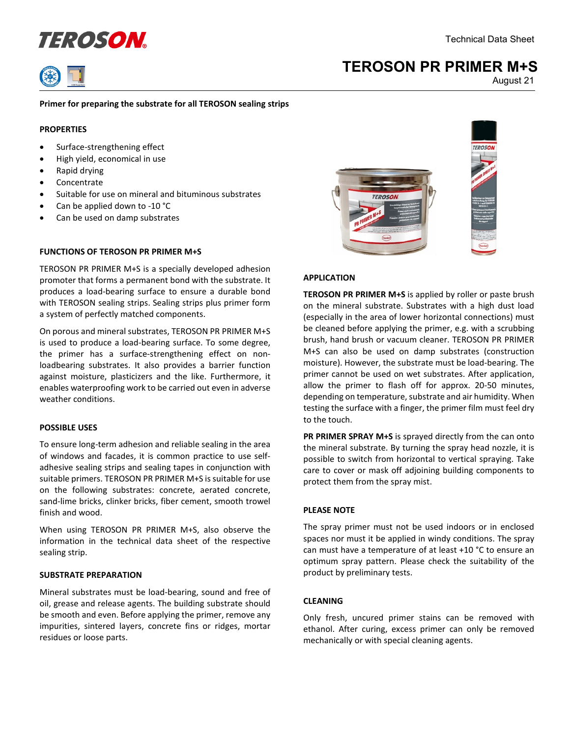



# **TEROSON PR PRIMER M+S**

August 21

## **Primer for preparing the substrate for all TEROSON sealing strips**

## **PROPERTIES**

- Surface-strengthening effect
- High yield, economical in use
- Rapid drying
- Concentrate
- Suitable for use on mineral and bituminous substrates
- Can be applied down to -10 °C
- Can be used on damp substrates

## **FUNCTIONS OF TEROSON PR PRIMER M+S**

TEROSON PR PRIMER M+S is a specially developed adhesion promoter that forms a permanent bond with the substrate. It produces a load-bearing surface to ensure a durable bond with TEROSON sealing strips. Sealing strips plus primer form a system of perfectly matched components.

On porous and mineral substrates, TEROSON PR PRIMER M+S is used to produce a load-bearing surface. To some degree, the primer has a surface-strengthening effect on nonloadbearing substrates. It also provides a barrier function against moisture, plasticizers and the like. Furthermore, it enables waterproofing work to be carried out even in adverse weather conditions.

## **POSSIBLE USES**

To ensure long-term adhesion and reliable sealing in the area of windows and facades, it is common practice to use selfadhesive sealing strips and sealing tapes in conjunction with suitable primers. TEROSON PR PRIMER M+S is suitable for use on the following substrates: concrete, aerated concrete, sand-lime bricks, clinker bricks, fiber cement, smooth trowel finish and wood.

When using TEROSON PR PRIMER M+S, also observe the information in the technical data sheet of the respective sealing strip.

## **SUBSTRATE PREPARATION**

Mineral substrates must be load-bearing, sound and free of oil, grease and release agents. The building substrate should be smooth and even. Before applying the primer, remove any impurities, sintered layers, concrete fins or ridges, mortar residues or loose parts.



#### **APPLICATION**

**TEROSON PR PRIMER M+S** is applied by roller or paste brush on the mineral substrate. Substrates with a high dust load (especially in the area of lower horizontal connections) must be cleaned before applying the primer, e.g. with a scrubbing brush, hand brush or vacuum cleaner. TEROSON PR PRIMER M+S can also be used on damp substrates (construction moisture). However, the substrate must be load-bearing. The primer cannot be used on wet substrates. After application, allow the primer to flash off for approx. 20-50 minutes, depending on temperature, substrate and air humidity. When testing the surface with a finger, the primer film must feel dry to the touch.

**PR PRIMER SPRAY M+S** is sprayed directly from the can onto the mineral substrate. By turning the spray head nozzle, it is possible to switch from horizontal to vertical spraying. Take care to cover or mask off adjoining building components to protect them from the spray mist.

#### **PLEASE NOTE**

The spray primer must not be used indoors or in enclosed spaces nor must it be applied in windy conditions. The spray can must have a temperature of at least +10 °C to ensure an optimum spray pattern. Please check the suitability of the product by preliminary tests.

## **CLEANING**

Only fresh, uncured primer stains can be removed with ethanol. After curing, excess primer can only be removed mechanically or with special cleaning agents.